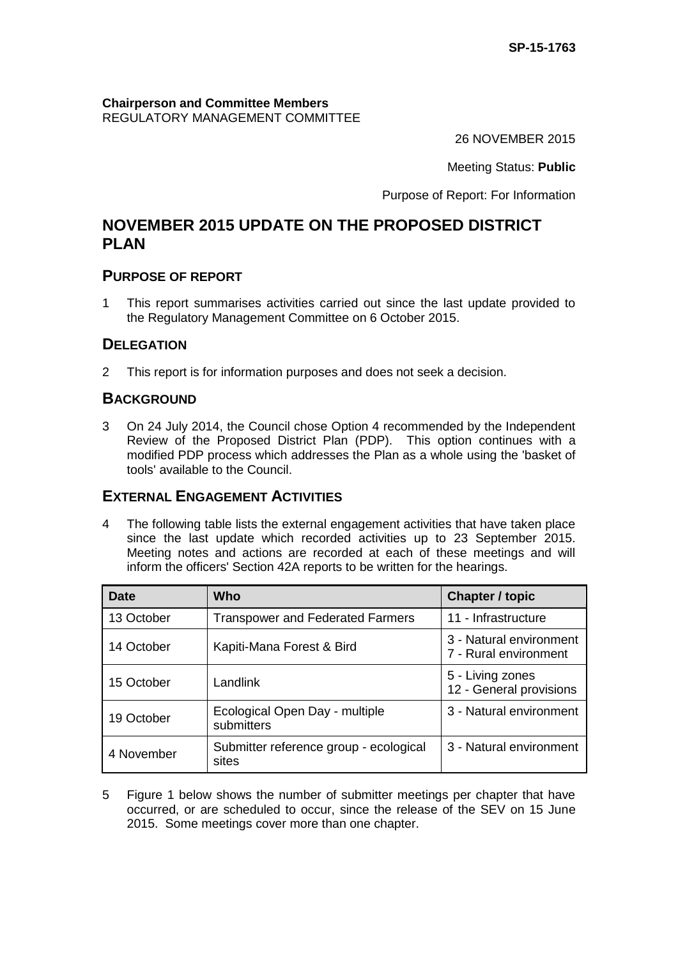**Chairperson and Committee Members** REGULATORY MANAGEMENT COMMITTEE

26 NOVEMBER 2015

Meeting Status: **Public**

Purpose of Report: For Information

# **NOVEMBER 2015 UPDATE ON THE PROPOSED DISTRICT PLAN**

## **PURPOSE OF REPORT**

1 This report summarises activities carried out since the last update provided to the Regulatory Management Committee on 6 October 2015.

## **DELEGATION**

2 This report is for information purposes and does not seek a decision.

## **BACKGROUND**

3 On 24 July 2014, the Council chose Option 4 recommended by the Independent Review of the Proposed District Plan (PDP). This option continues with a modified PDP process which addresses the Plan as a whole using the 'basket of tools' available to the Council.

## **EXTERNAL ENGAGEMENT ACTIVITIES**

4 The following table lists the external engagement activities that have taken place since the last update which recorded activities up to 23 September 2015. Meeting notes and actions are recorded at each of these meetings and will inform the officers' Section 42A reports to be written for the hearings.

| <b>Date</b> | Who                                             | <b>Chapter / topic</b>                           |
|-------------|-------------------------------------------------|--------------------------------------------------|
| 13 October  | <b>Transpower and Federated Farmers</b>         | 11 - Infrastructure                              |
| 14 October  | Kapiti-Mana Forest & Bird                       | 3 - Natural environment<br>7 - Rural environment |
| 15 October  | Landlink                                        | 5 - Living zones<br>12 - General provisions      |
| 19 October  | Ecological Open Day - multiple<br>submitters    | 3 - Natural environment                          |
| 4 November  | Submitter reference group - ecological<br>sites | 3 - Natural environment                          |

5 Figure 1 below shows the number of submitter meetings per chapter that have occurred, or are scheduled to occur, since the release of the SEV on 15 June 2015. Some meetings cover more than one chapter.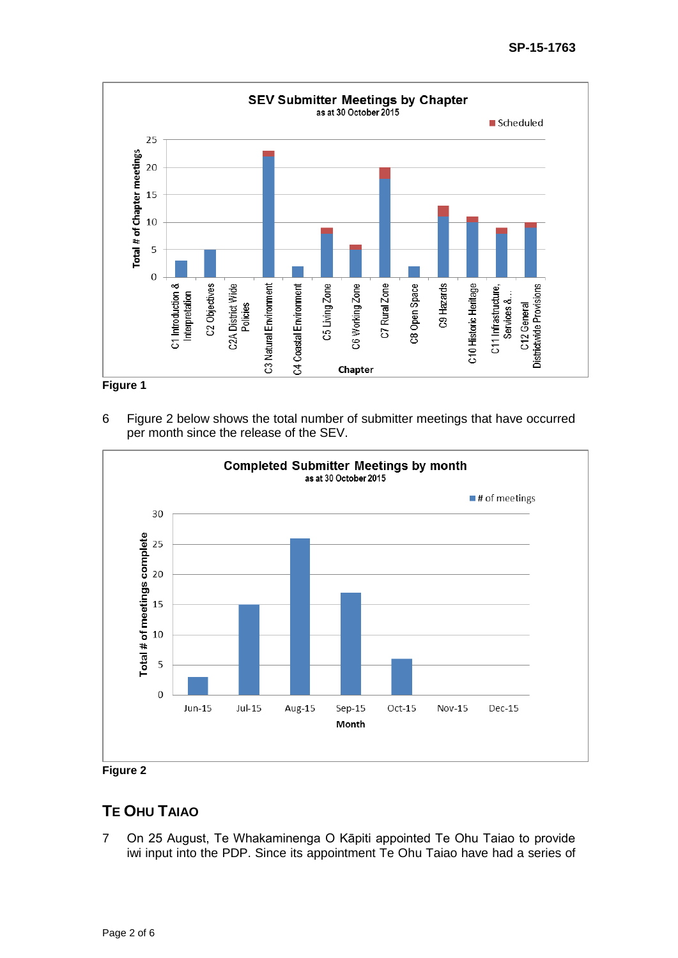

**Figure 1**

6 Figure 2 below shows the total number of submitter meetings that have occurred per month since the release of the SEV.



**Figure 2**

## **TE OHU TAIAO**

7 On 25 August, Te Whakaminenga O Kāpiti appointed Te Ohu Taiao to provide iwi input into the PDP. Since its appointment Te Ohu Taiao have had a series of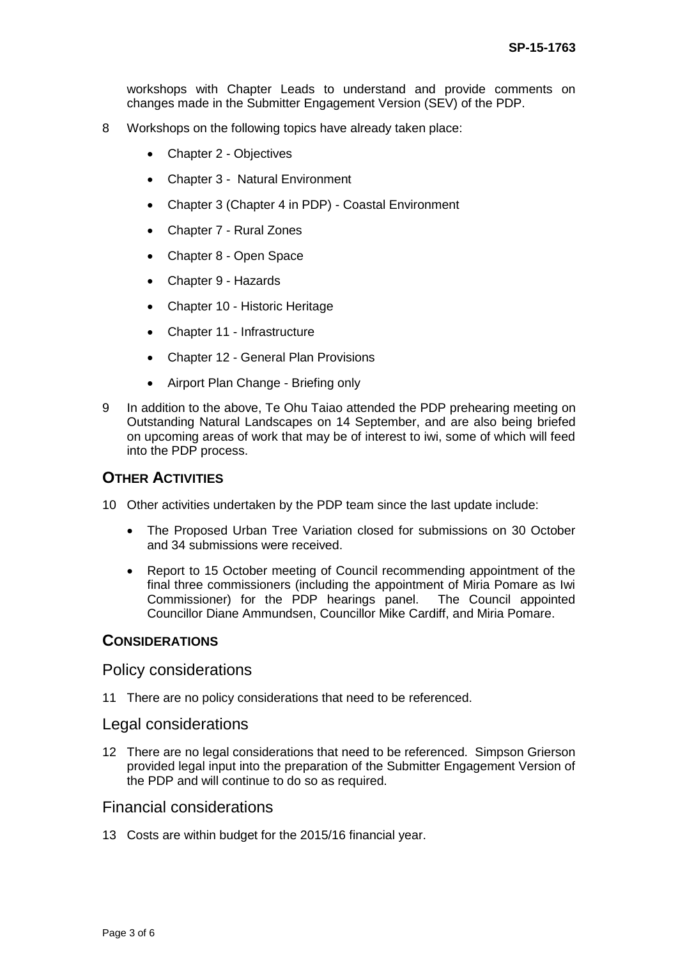workshops with Chapter Leads to understand and provide comments on changes made in the Submitter Engagement Version (SEV) of the PDP.

- 8 Workshops on the following topics have already taken place:
	- Chapter 2 Objectives
	- Chapter 3 Natural Environment
	- Chapter 3 (Chapter 4 in PDP) Coastal Environment
	- Chapter 7 Rural Zones
	- Chapter 8 Open Space
	- Chapter 9 Hazards
	- Chapter 10 Historic Heritage
	- Chapter 11 Infrastructure
	- Chapter 12 General Plan Provisions
	- Airport Plan Change Briefing only
- 9 In addition to the above, Te Ohu Taiao attended the PDP prehearing meeting on Outstanding Natural Landscapes on 14 September, and are also being briefed on upcoming areas of work that may be of interest to iwi, some of which will feed into the PDP process.

#### **OTHER ACTIVITIES**

- 10 Other activities undertaken by the PDP team since the last update include:
	- The Proposed Urban Tree Variation closed for submissions on 30 October and 34 submissions were received.
	- Report to 15 October meeting of Council recommending appointment of the final three commissioners (including the appointment of Miria Pomare as Iwi Commissioner) for the PDP hearings panel. The Council appointed Councillor Diane Ammundsen, Councillor Mike Cardiff, and Miria Pomare.

### **CONSIDERATIONS**

#### Policy considerations

11 There are no policy considerations that need to be referenced.

#### Legal considerations

12 There are no legal considerations that need to be referenced. Simpson Grierson provided legal input into the preparation of the Submitter Engagement Version of the PDP and will continue to do so as required.

#### Financial considerations

13 Costs are within budget for the 2015/16 financial year.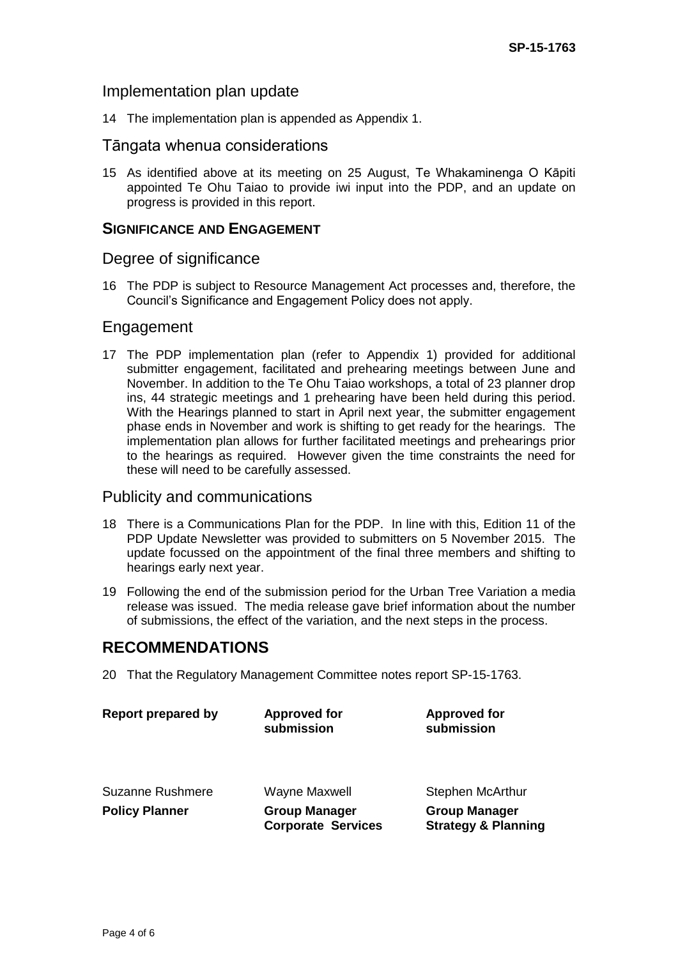### Implementation plan update

14 The implementation plan is appended as Appendix 1.

### Tāngata whenua considerations

15 As identified above at its meeting on 25 August, Te Whakaminenga O Kāpiti appointed Te Ohu Taiao to provide iwi input into the PDP, and an update on progress is provided in this report.

#### **SIGNIFICANCE AND ENGAGEMENT**

### Degree of significance

16 The PDP is subject to Resource Management Act processes and, therefore, the Council's Significance and Engagement Policy does not apply.

#### Engagement

17 The PDP implementation plan (refer to Appendix 1) provided for additional submitter engagement, facilitated and prehearing meetings between June and November. In addition to the Te Ohu Taiao workshops, a total of 23 planner drop ins, 44 strategic meetings and 1 prehearing have been held during this period. With the Hearings planned to start in April next year, the submitter engagement phase ends in November and work is shifting to get ready for the hearings. The implementation plan allows for further facilitated meetings and prehearings prior to the hearings as required. However given the time constraints the need for these will need to be carefully assessed.

## Publicity and communications

- 18 There is a Communications Plan for the PDP. In line with this, Edition 11 of the PDP Update Newsletter was provided to submitters on 5 November 2015. The update focussed on the appointment of the final three members and shifting to hearings early next year.
- 19 Following the end of the submission period for the Urban Tree Variation a media release was issued. The media release gave brief information about the number of submissions, the effect of the variation, and the next steps in the process.

## **RECOMMENDATIONS**

20 That the Regulatory Management Committee notes report SP-15-1763.

| <b>Report prepared by</b> | <b>Approved for</b><br>submission                 | <b>Approved for</b><br>submission                      |
|---------------------------|---------------------------------------------------|--------------------------------------------------------|
| <b>Suzanne Rushmere</b>   | <b>Wayne Maxwell</b>                              | Stephen McArthur                                       |
| <b>Policy Planner</b>     | <b>Group Manager</b><br><b>Corporate Services</b> | <b>Group Manager</b><br><b>Strategy &amp; Planning</b> |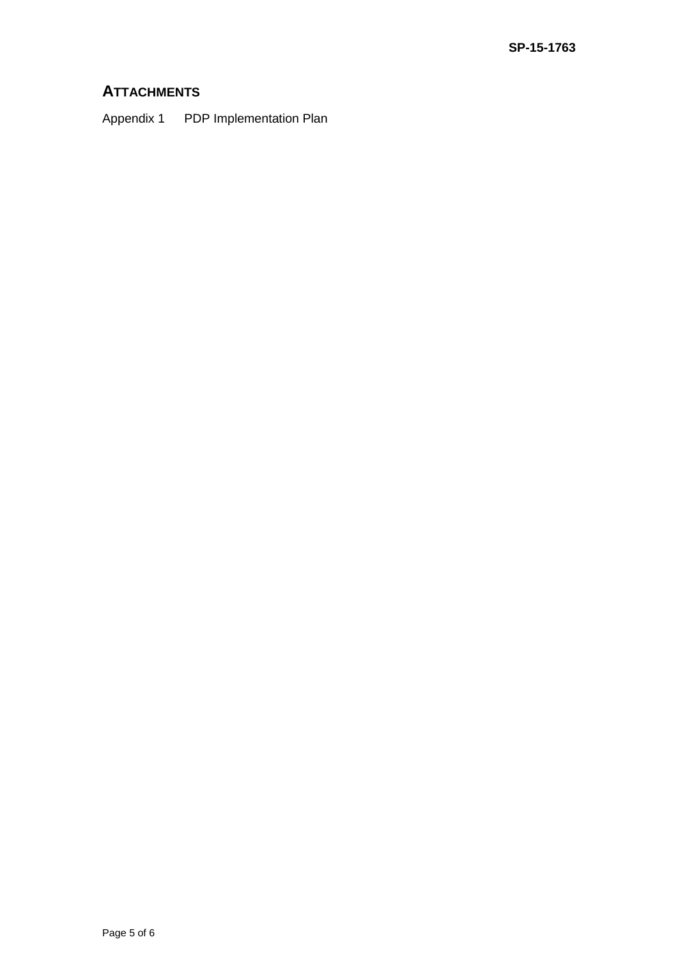## **ATTACHMENTS**

Appendix 1 PDP Implementation Plan